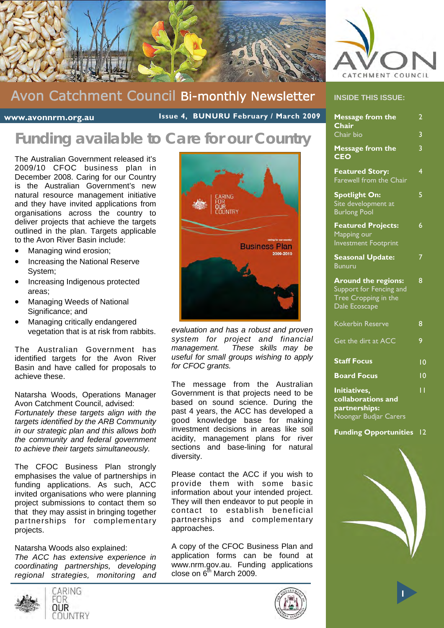



**www.avonnrm.org.au** 

 **Issue 4, BUNURU February / March 2009** 

## **Funding available to Care for our Country**

The Australian Government released it's 2009/10 CFOC business plan in December 2008. Caring for our Country is the Australian Government's new natural resource management initiative and they have invited applications from organisations across the country to deliver projects that achieve the targets outlined in the plan. Targets applicable to the Avon River Basin include:

- Managing wind erosion;
- Increasing the National Reserve System;
- Increasing Indigenous protected areas;
- Managing Weeds of National Significance; and
- Managing critically endangered vegetation that is at risk from rabbits.

The Australian Government has identified targets for the Avon River Basin and have called for proposals to achieve these.

Natarsha Woods, Operations Manager Avon Catchment Council, advised:

*Fortunately these targets align with the targets identified by the ARB Community in our strategic plan and this allows both the community and federal government to achieve their targets simultaneously.* 

The CFOC Business Plan strongly emphasises the value of partnerships in funding applications. As such, ACC invited organisations who were planning project submissions to contact them so that they may assist in bringing together partnerships for complementary projects.

Natarsha Woods also explained: *The ACC has extensive experience in coordinating partnerships, developing regional strategies, monitoring and* 



CARING FNR OUR COUNTRY



*evaluation and has a robust and proven system for project and financial management. These skills may be useful for small groups wishing to apply for CFOC grants.* 

The message from the Australian Government is that projects need to be based on sound science. During the past 4 years, the ACC has developed a good knowledge base for making investment decisions in areas like soil acidity, management plans for river sections and base-lining for natural diversity.

Please contact the ACC if you wish to provide them with some basic information about your intended project. They will then endeavor to put people in contact to establish beneficial partnerships and complementary approaches.

A copy of the CFOC Business Plan and application forms can be found at www.nrm.gov.au. Funding applications close on  $6<sup>th</sup>$  March 2009.





|  | <b>INSIDE THIS ISSUE:</b> |  |  |  |  |  |
|--|---------------------------|--|--|--|--|--|
|--|---------------------------|--|--|--|--|--|

| <b>Message from the</b><br>Chair                                                               | $\overline{2}$  |
|------------------------------------------------------------------------------------------------|-----------------|
| Chair bio                                                                                      | 3               |
| <b>Message from the</b><br><b>CEO</b>                                                          | 3               |
| <b>Featured Story:</b><br>Farewell from the Chair                                              | 4               |
| <b>Spotlight On:</b><br>Site development at<br><b>Burlong Pool</b>                             | 5               |
| <b>Featured Projects:</b><br>Mapping our<br><b>Investment Footprint</b>                        | 6               |
| <b>Seasonal Update:</b><br><b>Bunuru</b>                                                       | 7               |
| <b>Around the regions:</b><br>Support for Fencing and<br>Tree Cropping in the<br>Dale Ecoscape | 8               |
| <b>Kokerbin Reserve</b>                                                                        | 8               |
| Get the dirt at ACC                                                                            | 9               |
| <b>Staff Focus</b>                                                                             | 10              |
| <b>Board Focus</b>                                                                             | $\overline{10}$ |
| Initiatives,<br>collaborations and<br>partnerships:<br>Noongar Budjar Carers                   | ĪΪ              |
| <b>Funding Opportunities</b>                                                                   | $\overline{2}$  |

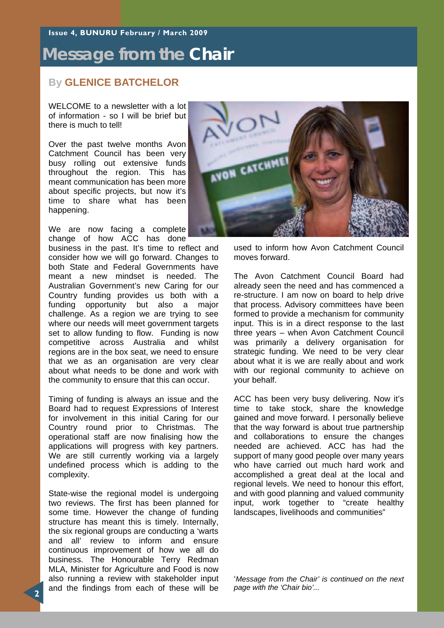**Issue 4, BUNURU February / March 2009** 

### **Message from the Chair**

### **By GLENICE BATCHELOR**

WELCOME to a newsletter with a lot of information - so I will be brief but there is much to tell!

Over the past twelve months Avon Catchment Council has been very busy rolling out extensive funds throughout the region. This has meant communication has been more about specific projects, but now it's time to share what has been happening.

We are now facing a complete change of how ACC has done

business in the past. It's time to reflect and consider how we will go forward. Changes to both State and Federal Governments have meant a new mindset is needed. The Australian Government's new Caring for our Country funding provides us both with a funding opportunity but also a major challenge. As a region we are trying to see where our needs will meet government targets set to allow funding to flow. Funding is now competitive across Australia and whilst regions are in the box seat, we need to ensure that we as an organisation are very clear about what needs to be done and work with the community to ensure that this can occur.

Timing of funding is always an issue and the Board had to request Expressions of Interest for involvement in this initial Caring for our Country round prior to Christmas. The operational staff are now finalising how the applications will progress with key partners. We are still currently working via a largely undefined process which is adding to the complexity.

State-wise the regional model is undergoing two reviews. The first has been planned for some time. However the change of funding structure has meant this is timely. Internally, the six regional groups are conducting a 'warts and all' review to inform and ensure continuous improvement of how we all do business. The Honourable Terry Redman MLA, Minister for Agriculture and Food is now also running a review with stakeholder input and the findings from each of these will be



used to inform how Avon Catchment Council moves forward.

The Avon Catchment Council Board had already seen the need and has commenced a re-structure. I am now on board to help drive that process. Advisory committees have been formed to provide a mechanism for community input. This is in a direct response to the last three years – when Avon Catchment Council was primarily a delivery organisation for strategic funding. We need to be very clear about what it is we are really about and work with our regional community to achieve on your behalf.

ACC has been very busy delivering. Now it's time to take stock, share the knowledge gained and move forward. I personally believe that the way forward is about true partnership and collaborations to ensure the changes needed are achieved. ACC has had the support of many good people over many years who have carried out much hard work and accomplished a great deal at the local and regional levels. We need to honour this effort, and with good planning and valued community input, work together to "create healthy landscapes, livelihoods and communities"

'*Message from the Chair' is continued on the next page with the 'Chair bio'...*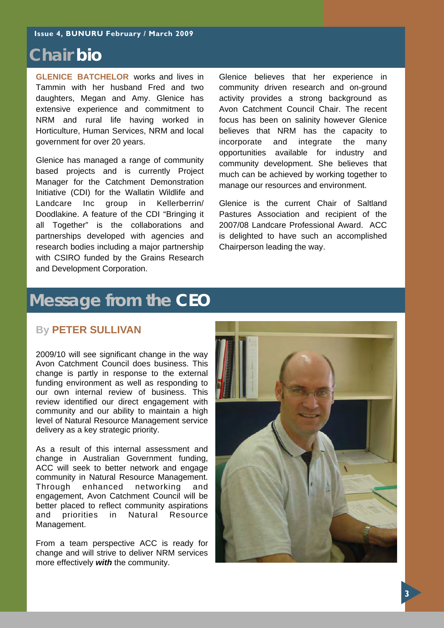### **Chair bio**

**GLENICE BATCHELOR** works and lives in Tammin with her husband Fred and two daughters, Megan and Amy. Glenice has extensive experience and commitment to NRM and rural life having worked in Horticulture, Human Services, NRM and local government for over 20 years.

Glenice has managed a range of community based projects and is currently Project Manager for the Catchment Demonstration Initiative (CDI) for the Wallatin Wildlife and Landcare Inc group in Kellerberrin/ Doodlakine. A feature of the CDI "Bringing it all Together" is the collaborations and partnerships developed with agencies and research bodies including a major partnership with CSIRO funded by the Grains Research and Development Corporation.

Glenice believes that her experience in community driven research and on-ground activity provides a strong background as Avon Catchment Council Chair. The recent focus has been on salinity however Glenice believes that NRM has the capacity to incorporate and integrate the many opportunities available for industry and community development. She believes that much can be achieved by working together to manage our resources and environment.

Glenice is the current Chair of Saltland Pastures Association and recipient of the 2007/08 Landcare Professional Award. ACC is delighted to have such an accomplished Chairperson leading the way.

## **Message from the CEO**

### **By PETER SULLIVAN**

2009/10 will see significant change in the way Avon Catchment Council does business. This change is partly in response to the external funding environment as well as responding to our own internal review of business. This review identified our direct engagement with community and our ability to maintain a high level of Natural Resource Management service delivery as a key strategic priority.

As a result of this internal assessment and change in Australian Government funding, ACC will seek to better network and engage community in Natural Resource Management. Through enhanced networking and engagement, Avon Catchment Council will be better placed to reflect community aspirations and priorities in Natural Resource Management.

From a team perspective ACC is ready for change and will strive to deliver NRM services more effectively *with* the community.

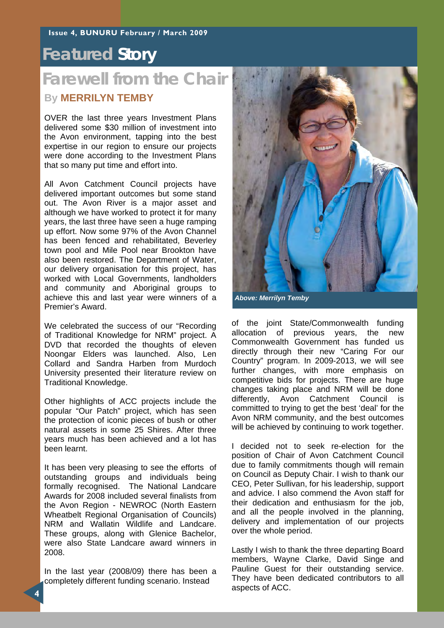### **Featured Story**

## **Farewell from the Chair**

### **By MERRILYN TEMBY**

OVER the last three years Investment Plans delivered some \$30 million of investment into the Avon environment, tapping into the best expertise in our region to ensure our projects were done according to the Investment Plans that so many put time and effort into.

All Avon Catchment Council projects have delivered important outcomes but some stand out. The Avon River is a major asset and although we have worked to protect it for many years, the last three have seen a huge ramping up effort. Now some 97% of the Avon Channel has been fenced and rehabilitated, Beverley town pool and Mile Pool near Brookton have also been restored. The Department of Water, our delivery organisation for this project, has worked with Local Governments, landholders and community and Aboriginal groups to achieve this and last year were winners of a Premier's Award.

We celebrated the success of our "Recording of Traditional Knowledge for NRM" project. A DVD that recorded the thoughts of eleven Noongar Elders was launched. Also, Len Collard and Sandra Harben from Murdoch University presented their literature review on Traditional Knowledge.

Other highlights of ACC projects include the popular "Our Patch" project, which has seen the protection of iconic pieces of bush or other natural assets in some 25 Shires. After three years much has been achieved and a lot has been learnt.

It has been very pleasing to see the efforts of outstanding groups and individuals being formally recognised. The National Landcare Awards for 2008 included several finalists from the Avon Region - NEWROC (North Eastern Wheatbelt Regional Organisation of Councils) NRM and Wallatin Wildlife and Landcare. These groups, along with Glenice Bachelor, were also State Landcare award winners in 2008.

In the last year (2008/09) there has been a completely different funding scenario. Instead



*Above: Merrilyn Temby* 

of the joint State/Commonwealth funding allocation of previous years, the new Commonwealth Government has funded us directly through their new "Caring For our Country" program. In 2009-2013, we will see further changes, with more emphasis on competitive bids for projects. There are huge changes taking place and NRM will be done differently, Avon Catchment Council is committed to trying to get the best 'deal' for the Avon NRM community, and the best outcomes will be achieved by continuing to work together.

I decided not to seek re-election for the position of Chair of Avon Catchment Council due to family commitments though will remain on Council as Deputy Chair. I wish to thank our CEO, Peter Sullivan, for his leadership, support and advice. I also commend the Avon staff for their dedication and enthusiasm for the job, and all the people involved in the planning, delivery and implementation of our projects over the whole period.

Lastly I wish to thank the three departing Board members, Wayne Clarke, David Singe and Pauline Guest for their outstanding service. They have been dedicated contributors to all aspects of ACC.

**4**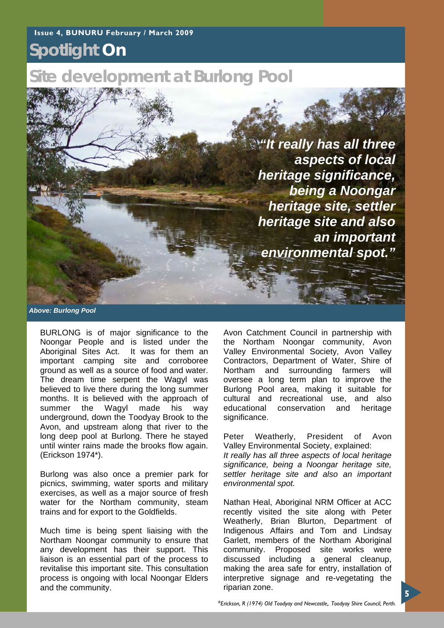## **Spotlight On**

## **Site development at Burlong Pool**

*"It really has all three aspects of local heritage significance, being a Noongar heritage site, settler heritage site and also an important environmental spot."*

*Above: Burlong Pool* 

BURLONG is of major significance to the Noongar People and is listed under the Aboriginal Sites Act. It was for them an important camping site and corroboree ground as well as a source of food and water. The dream time serpent the Wagyl was believed to live there during the long summer months. It is believed with the approach of summer the Wagyl made his way underground, down the Toodyay Brook to the Avon, and upstream along that river to the long deep pool at Burlong. There he stayed until winter rains made the brooks flow again. (Erickson 1974\*).

Burlong was also once a premier park for picnics, swimming, water sports and military exercises, as well as a major source of fresh water for the Northam community, steam trains and for export to the Goldfields.

Much time is being spent liaising with the Northam Noongar community to ensure that any development has their support. This liaison is an essential part of the process to revitalise this important site. This consultation process is ongoing with local Noongar Elders and the community.

Avon Catchment Council in partnership with the Northam Noongar community, Avon Valley Environmental Society, Avon Valley Contractors, Department of Water, Shire of Northam and surrounding farmers will oversee a long term plan to improve the Burlong Pool area, making it suitable for cultural and recreational use, and also educational conservation and heritage significance.

Peter Weatherly, President of Avon Valley Environmental Society, explained: *It really has all three aspects of local heritage significance, being a Noongar heritage site, settler heritage site and also an important environmental spot.* 

Nathan Heal, Aboriginal NRM Officer at ACC recently visited the site along with Peter Weatherly, Brian Blurton, Department of Indigenous Affairs and Tom and Lindsay Garlett, members of the Northam Aboriginal community. Proposed site works were discussed including a general cleanup, making the area safe for entry, installation of interpretive signage and re-vegetating the riparian zone.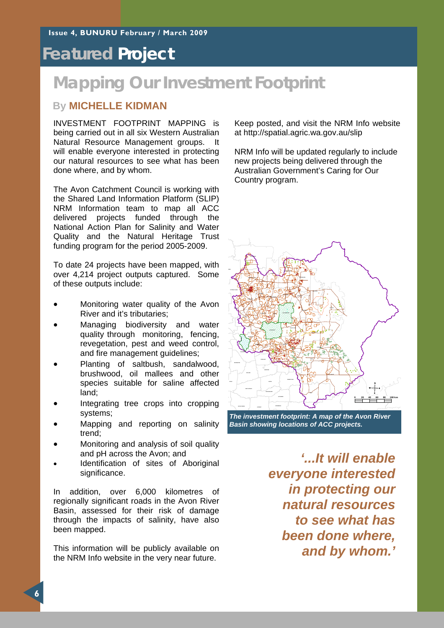### **Featured Project**

## **Mapping Our Investment Footprint**

### **By MICHELLE KIDMAN**

INVESTMENT FOOTPRINT MAPPING is being carried out in all six Western Australian Natural Resource Management groups. It will enable everyone interested in protecting our natural resources to see what has been done where, and by whom.

The Avon Catchment Council is working with the Shared Land Information Platform (SLIP) NRM Information team to map all ACC delivered projects funded through the National Action Plan for Salinity and Water Quality and the Natural Heritage Trust funding program for the period 2005-2009.

To date 24 projects have been mapped, with over 4,214 project outputs captured. Some of these outputs include:

- Monitoring water quality of the Avon River and it's tributaries;
- Managing biodiversity and water quality through monitoring, fencing, revegetation, pest and weed control, and fire management guidelines;
- Planting of saltbush, sandalwood, brushwood, oil mallees and other species suitable for saline affected land;
- Integrating tree crops into cropping systems;
- Mapping and reporting on salinity trend;
- Monitoring and analysis of soil quality and pH across the Avon; and
- Identification of sites of Aboriginal significance.

In addition, over 6,000 kilometres of regionally significant roads in the Avon River Basin, assessed for their risk of damage through the impacts of salinity, have also been mapped.

This information will be publicly available on the NRM Info website in the very near future.

Keep posted, and visit the NRM Info website at http://spatial.agric.wa.gov.au/slip

NRM Info will be updated regularly to include new projects being delivered through the Australian Government's Caring for Our Country program.



*The investment footprint: A map of the Avon River Basin showing locations of ACC projects.* 

*'...It will enable everyone interested in protecting our natural resources to see what has been done where, and by whom.'*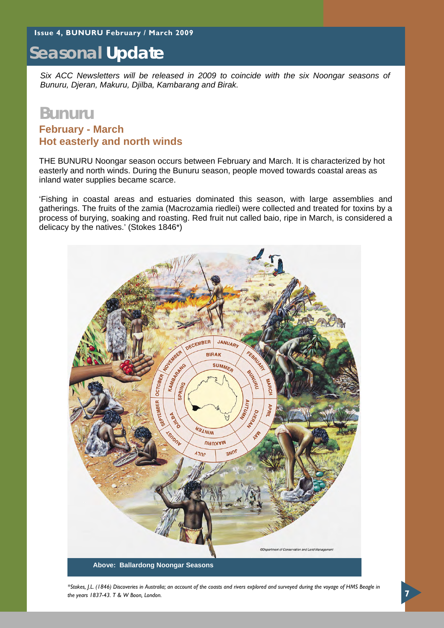## **Seasonal Update**

*Six ACC Newsletters will be released in 2009 to coincide with the six Noongar seasons of Bunuru, Djeran, Makuru, Djilba, Kambarang and Birak.* 

### **Bunuru February - March Hot easterly and north winds**

THE BUNURU Noongar season occurs between February and March. It is characterized by hot easterly and north winds. During the Bunuru season, people moved towards coastal areas as inland water supplies became scarce.

'Fishing in coastal areas and estuaries dominated this season, with large assemblies and gatherings. The fruits of the zamia (Macrozamia riedlei) were collected and treated for toxins by a process of burying, soaking and roasting. Red fruit nut called baio, ripe in March, is considered a delicacy by the natives.' (Stokes 1846\*)



*\*Stokes, J.L. (1846) Discoveries in Australia; an account of the coasts and rivers explored and surveyed during the voyage of HMS Beagle in the years 1837-43. T & W Boon, London.*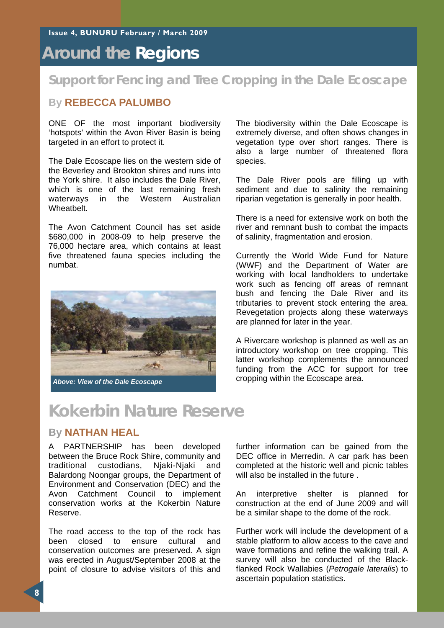## **Around the Regions**

### **Support for Fencing and Tree Cropping in the Dale Ecoscape**

### **By REBECCA PALUMBO**

ONE OF the most important biodiversity 'hotspots' within the Avon River Basin is being targeted in an effort to protect it.

The Dale Ecoscape lies on the western side of the Beverley and Brookton shires and runs into the York shire. It also includes the Dale River, which is one of the last remaining fresh waterways in the Western Australian Wheatbelt.

The Avon Catchment Council has set aside \$680,000 in 2008-09 to help preserve the 76,000 hectare area, which contains at least five threatened fauna species including the numbat.



The biodiversity within the Dale Ecoscape is extremely diverse, and often shows changes in vegetation type over short ranges. There is also a large number of threatened flora species.

The Dale River pools are filling up with sediment and due to salinity the remaining riparian vegetation is generally in poor health.

There is a need for extensive work on both the river and remnant bush to combat the impacts of salinity, fragmentation and erosion.

Currently the World Wide Fund for Nature (WWF) and the Department of Water are working with local landholders to undertake work such as fencing off areas of remnant bush and fencing the Dale River and its tributaries to prevent stock entering the area. Revegetation projects along these waterways are planned for later in the year.

A Rivercare workshop is planned as well as an introductory workshop on tree cropping. This latter workshop complements the announced funding from the ACC for support for tree

## **Kokerbin Nature Reserve**

### **By NATHAN HEAL**

A PARTNERSHIP has been developed between the Bruce Rock Shire, community and traditional custodians, Njaki-Njaki and Balardong Noongar groups, the Department of Environment and Conservation (DEC) and the Avon Catchment Council to implement conservation works at the Kokerbin Nature Reserve.

The road access to the top of the rock has been closed to ensure cultural and conservation outcomes are preserved. A sign was erected in August/September 2008 at the point of closure to advise visitors of this and further information can be gained from the DEC office in Merredin. A car park has been completed at the historic well and picnic tables will also be installed in the future .

An interpretive shelter is planned for construction at the end of June 2009 and will be a similar shape to the dome of the rock.

Further work will include the development of a stable platform to allow access to the cave and wave formations and refine the walking trail. A survey will also be conducted of the Blackflanked Rock Wallabies (*Petrogale lateralis*) to ascertain population statistics.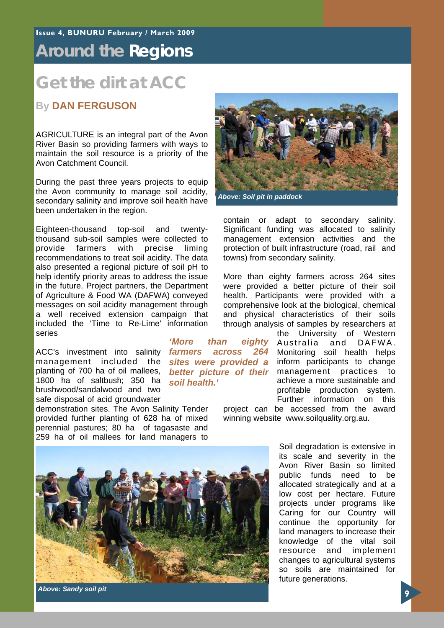### **Around the Regions**

### **Get the dirt at ACC**

### **By DAN FERGUSON**

AGRICULTURE is an integral part of the Avon River Basin so providing farmers with ways to maintain the soil resource is a priority of the Avon Catchment Council.

During the past three years projects to equip the Avon community to manage soil acidity, secondary salinity and improve soil health have been undertaken in the region.

Eighteen-thousand top-soil and twentythousand sub-soil samples were collected to provide farmers with precise liming recommendations to treat soil acidity. The data also presented a regional picture of soil pH to help identify priority areas to address the issue in the future. Project partners, the Department of Agriculture & Food WA (DAFWA) conveyed messages on soil acidity management through a well received extension campaign that included the 'Time to Re-Lime' information series

ACC's investment into salinity management included the planting of 700 ha of oil mallees, 1800 ha of saltbush; 350 ha brushwood/sandalwood and two safe disposal of acid groundwater

demonstration sites. The Avon Salinity Tender provided further planting of 628 ha of mixed perennial pastures; 80 ha of tagasaste and 259 ha of oil mallees for land managers to

*'More than eighty farmers across 264 sites were provided a soil health.'* 

contain or adapt to secondary salinity. Significant funding was allocated to salinity management extension activities and the protection of built infrastructure (road, rail and towns) from secondary salinity. More than eighty farmers across 264 sites

*Above: Soil pit in paddock* 

were provided a better picture of their soil health. Participants were provided with a comprehensive look at the biological, chemical and physical characteristics of their soils through analysis of samples by researchers at

the University of Western Australia and DAFWA. Monitoring soil health helps inform participants to change better picture of their management practices to achieve a more sustainable and profitable production system. Further information on this

project can be accessed from the award winning website www.soilquality.org.au.

> Soil degradation is extensive in its scale and severity in the Avon River Basin so limited public funds need to be allocated strategically and at a low cost per hectare. Future projects under programs like Caring for our Country will continue the opportunity for land managers to increase their knowledge of the vital soil resource and implement changes to agricultural systems so soils are maintained for future generations.



*Above: Sandy soil pit*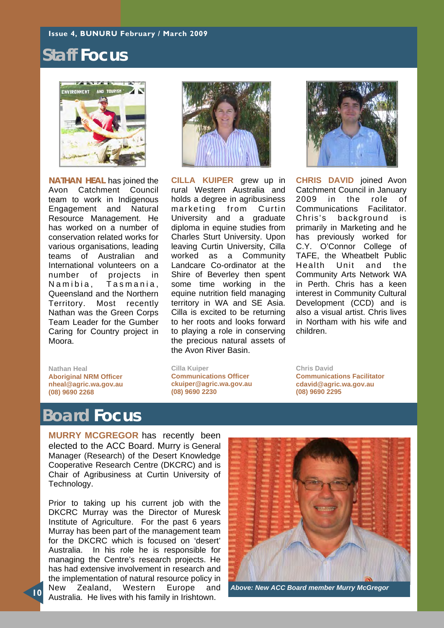#### **Issue 4, BUNURU February / March 2009**

### **Staff Focus**



**NATHAN HEAL** has joined the Avon Catchment Council team to work in Indigenous Engagement and Natural Resource Management. He has worked on a number of conservation related works for various organisations, leading teams of Australian and International volunteers on a number of projects in Namibia, Tasmania, Queensland and the Northern Territory. Most recently Nathan was the Green Corps Team Leader for the Gumber Caring for Country project in Moora.

**Nathan Heal Aboriginal NRM Officer nheal@agric.wa.gov.au (08) 9690 2268** 

**CILLA KUIPER** grew up in rural Western Australia and holds a degree in agribusiness marketing from Curtin University and a graduate diploma in equine studies from Charles Sturt University. Upon leaving Curtin University, Cilla worked as a Community Landcare Co-ordinator at the Shire of Beverley then spent some time working in the equine nutrition field managing territory in WA and SE Asia. Cilla is excited to be returning to her roots and looks forward to playing a role in conserving the precious natural assets of the Avon River Basin.



**CHRIS DAVID** joined Avon Catchment Council in January 2009 in the role of Communications Facilitator. Chris's background is primarily in Marketing and he has previously worked for C.Y. O'Connor College of TAFE, the Wheatbelt Public Health Unit and the Community Arts Network WA in Perth. Chris has a keen interest in Community Cultural Development (CCD) and is also a visual artist. Chris lives in Northam with his wife and children.

**Cilla Kuiper Communications Officer ckuiper@agric.wa.gov.au (08) 9690 2230** 

**Communications Facilitator cdavid@agric.wa.gov.au (08) 9690 2295** 

**Chris David** 

### **Board Focus**

**MURRY MCGREGOR** has recently been elected to the ACC Board. Murry is General Manager (Research) of the Desert Knowledge Cooperative Research Centre (DKCRC) and is Chair of Agribusiness at Curtin University of Technology.

Prior to taking up his current job with the DKCRC Murray was the Director of Muresk Institute of Agriculture. For the past 6 years Murray has been part of the management team for the DKCRC which is focused on 'desert' Australia. In his role he is responsible for managing the Centre's research projects. He has had extensive involvement in research and the implementation of natural resource policy in New Zealand, Western Europe and Australia. He lives with his family in Irishtown.



*Above: New ACC Board member Murry McGregor*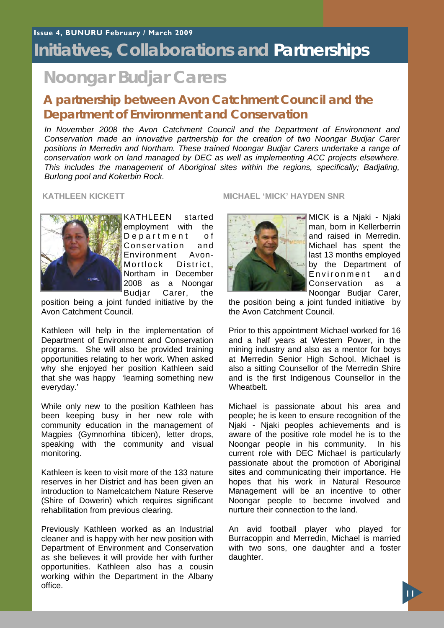## **Initiatives, Collaborations and Partnerships**

## **Noongar Budjar Carers**

### **A partnership between Avon Catchment Council and the Department of Environment and Conservation**

*In November 2008 the Avon Catchment Council and the Department of Environment and Conservation made an innovative partnership for the creation of two Noongar Budjar Carer positions in Merredin and Northam. These trained Noongar Budjar Carers undertake a range of conservation work on land managed by DEC as well as implementing ACC projects elsewhere. This includes the management of Aboriginal sites within the regions, specifically; Badjaling, Burlong pool and Kokerbin Rock.* 



KATHLEEN started employment with the Department of Conservation and<br>Environment Avon-Environment Mortlock District. Northam in December 2008 as a Noongar Budjar Carer, the

position being a joint funded initiative by the Avon Catchment Council.

Kathleen will help in the implementation of Department of Environment and Conservation programs. She will also be provided training opportunities relating to her work. When asked why she enjoyed her position Kathleen said that she was happy 'learning something new everyday.'

While only new to the position Kathleen has been keeping busy in her new role with community education in the management of Magpies (Gymnorhina tibicen), letter drops, speaking with the community and visual monitoring.

Kathleen is keen to visit more of the 133 nature reserves in her District and has been given an introduction to Namelcatchem Nature Reserve (Shire of Dowerin) which requires significant rehabilitation from previous clearing.

Previously Kathleen worked as an Industrial cleaner and is happy with her new position with Department of Environment and Conservation as she believes it will provide her with further opportunities. Kathleen also has a cousin working within the Department in the Albany office.

### **KATHLEEN KICKETT MICHAEL 'MICK' HAYDEN SNR**



**- MICK** is a Njaki - Njaki man, born in Kellerberrin and raised in Merredin. Michael has spent the last 13 months employed by the Department of Environment and Conservation as a Noongar Budjar Carer,

the position being a joint funded initiative by the Avon Catchment Council.

Prior to this appointment Michael worked for 16 and a half years at Western Power, in the mining industry and also as a mentor for boys at Merredin Senior High School. Michael is also a sitting Counsellor of the Merredin Shire and is the first Indigenous Counsellor in the Wheatbelt.

Michael is passionate about his area and people; he is keen to ensure recognition of the Niaki - Niaki peoples achievements and is aware of the positive role model he is to the Noongar people in his community. In his current role with DEC Michael is particularly passionate about the promotion of Aboriginal sites and communicating their importance. He hopes that his work in Natural Resource Management will be an incentive to other Noongar people to become involved and nurture their connection to the land.

An avid football player who played for Burracoppin and Merredin, Michael is married with two sons, one daughter and a foster daughter.